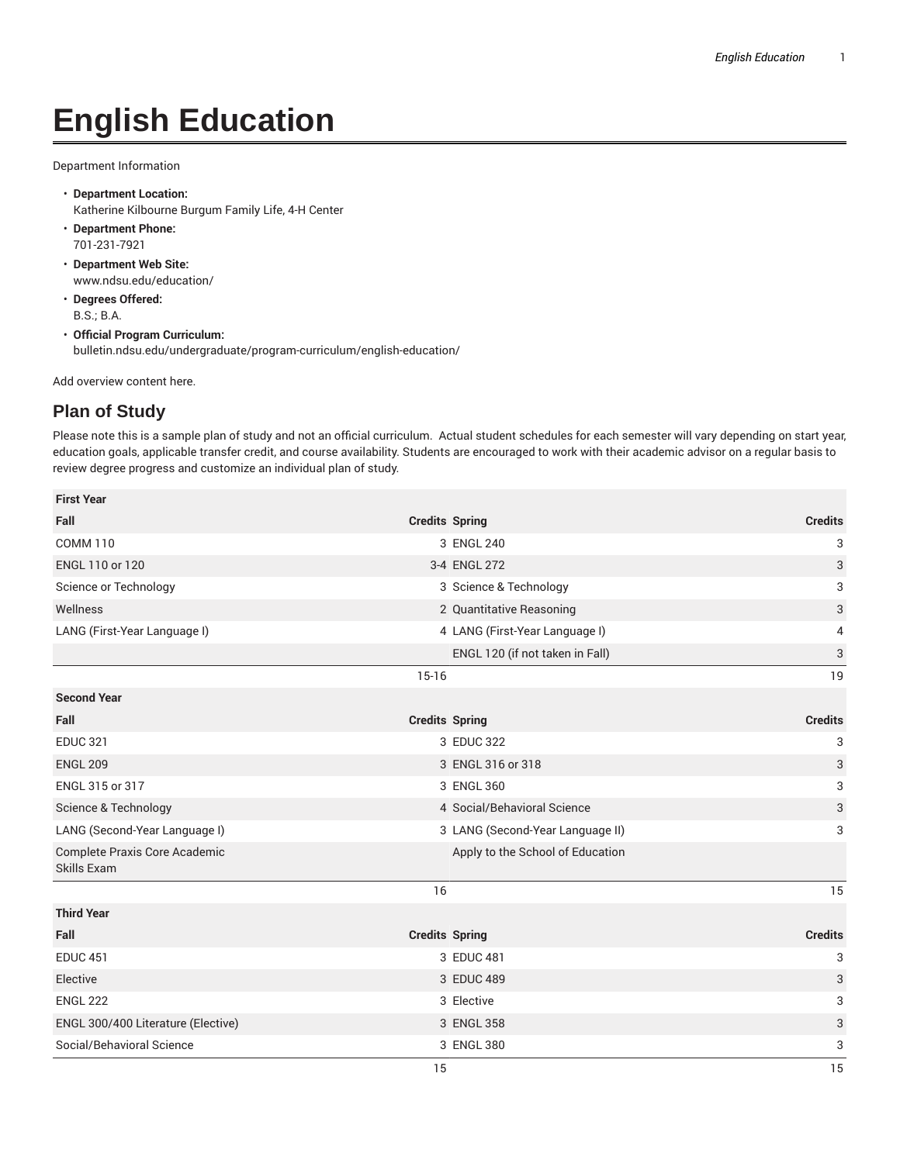## **English Education**

Department Information

- **Department Location:** Katherine Kilbourne Burgum Family Life, 4-H Center
- **Department Phone:** 701-231-7921
- **Department Web Site:** www.ndsu.edu/education/
- **Degrees Offered:** B.S.; B.A.
- **Official Program Curriculum:** bulletin.ndsu.edu/undergraduate/program-curriculum/english-education/

Add overview content here.

## **Plan of Study**

Please note this is a sample plan of study and not an official curriculum. Actual student schedules for each semester will vary depending on start year, education goals, applicable transfer credit, and course availability. Students are encouraged to work with their academic advisor on a regular basis to review degree progress and customize an individual plan of study.

| <b>First Year</b>                            |                       |                                  |                           |
|----------------------------------------------|-----------------------|----------------------------------|---------------------------|
| Fall                                         | <b>Credits Spring</b> |                                  | <b>Credits</b>            |
| <b>COMM 110</b>                              |                       | 3 ENGL 240                       | $\ensuremath{\mathsf{3}}$ |
| ENGL 110 or 120                              |                       | 3-4 ENGL 272                     | 3                         |
| Science or Technology                        |                       | 3 Science & Technology           | 3                         |
| Wellness                                     |                       | 2 Quantitative Reasoning         | 3                         |
| LANG (First-Year Language I)                 |                       | 4 LANG (First-Year Language I)   | 4                         |
|                                              |                       | ENGL 120 (if not taken in Fall)  | $\ensuremath{\mathsf{3}}$ |
|                                              | $15-16$               |                                  | 19                        |
| <b>Second Year</b>                           |                       |                                  |                           |
| Fall                                         | <b>Credits Spring</b> |                                  | <b>Credits</b>            |
| <b>EDUC 321</b>                              |                       | 3 EDUC 322                       | 3                         |
| <b>ENGL 209</b>                              |                       | 3 ENGL 316 or 318                | 3                         |
| ENGL 315 or 317                              |                       | 3 ENGL 360                       | 3                         |
| Science & Technology                         |                       | 4 Social/Behavioral Science      | 3                         |
| LANG (Second-Year Language I)                |                       | 3 LANG (Second-Year Language II) | 3                         |
| Complete Praxis Core Academic<br>Skills Exam |                       | Apply to the School of Education |                           |
|                                              | 16                    |                                  | 15                        |
| <b>Third Year</b>                            |                       |                                  |                           |
| Fall                                         | <b>Credits Spring</b> |                                  | <b>Credits</b>            |
| <b>EDUC 451</b>                              |                       | 3 EDUC 481                       | 3                         |
| Elective                                     |                       | 3 EDUC 489                       | 3                         |
| <b>ENGL 222</b>                              |                       | 3 Elective                       | 3                         |
| ENGL 300/400 Literature (Elective)           |                       | 3 ENGL 358                       | $\ensuremath{\mathsf{3}}$ |
| Social/Behavioral Science                    |                       | 3 ENGL 380                       | 3                         |
|                                              | 15                    |                                  | 15                        |